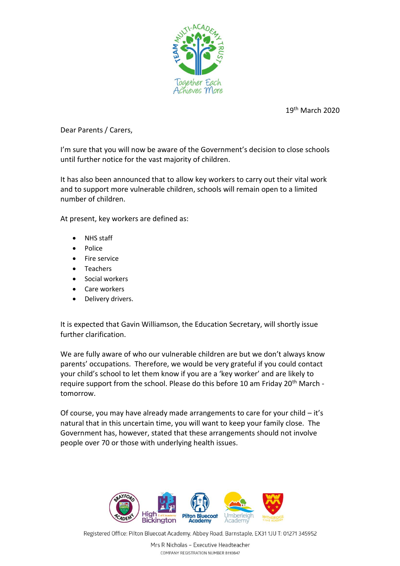

19th March 2020

Dear Parents / Carers,

I'm sure that you will now be aware of the Government's decision to close schools until further notice for the vast majority of children.

It has also been announced that to allow key workers to carry out their vital work and to support more vulnerable children, schools will remain open to a limited number of children.

At present, key workers are defined as:

- NHS staff
- Police
- Fire service
- Teachers
- Social workers
- Care workers
- Delivery drivers.

It is expected that Gavin Williamson, the Education Secretary, will shortly issue further clarification.

We are fully aware of who our vulnerable children are but we don't always know parents' occupations. Therefore, we would be very grateful if you could contact your child's school to let them know if you are a 'key worker' and are likely to require support from the school. Please do this before 10 am Friday 20<sup>th</sup> March tomorrow.

Of course, you may have already made arrangements to care for your child – it's natural that in this uncertain time, you will want to keep your family close. The Government has, however, stated that these arrangements should not involve people over 70 or those with underlying health issues.



Registered Office: Pilton Bluecoat Academy, Abbey Road, Barnstaple, EX311JU T: 01271 345952

Mrs R Nicholas - Executive Headteacher COMPANY REGISTRATION NUMBER 8110847